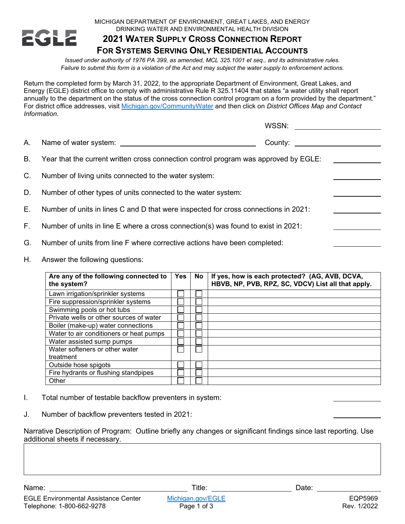

## MICHIGAN DEPARTMENT OF ENVIRONMENT, GREAT LAKES, AND ENERGY DRINKING WATER AND ENVIRONMENTAL HEALTH DIVISION

## **2021 WATER SUPPLY CROSS CONNECTION REPORT FOR SYSTEMS SERVING ONLY RESIDENTIAL ACCOUNTS**

*Issued under authority of 1976 PA 399, as amended, MCL 325.1001 et seq., and its administrative rules. Failure to submit this form is a violation of the Act and may subject the water supply to enforcement actions.*

Return the completed form by March 31, 2022, to the appropriate Department of Environment, Great Lakes, and Energy (EGLE) district office to comply with administrative Rule R 325.11404 that states "a water utility shall report annually to the department on the status of the cross connection control program on a form provided by the department." For district office addresses, visit [Michigan.gov/CommunityWater](http://www.michigan.gov/communitywater) and then click on *District Offices Map and Contact Information*.

|    |                                                                                      | WSSN:   |  |
|----|--------------------------------------------------------------------------------------|---------|--|
| А. |                                                                                      | County: |  |
| B. | Year that the current written cross connection control program was approved by EGLE: |         |  |
| C. | Number of living units connected to the water system:                                |         |  |
| D. | Number of other types of units connected to the water system:                        |         |  |
| Е. | Number of units in lines C and D that were inspected for cross connections in 2021:  |         |  |
| F. | Number of units in line E where a cross connection(s) was found to exist in 2021:    |         |  |
| G. | Number of units from line F where corrective actions have been completed:            |         |  |

H. Answer the following questions:

| Are any of the following connected to<br>the system? | <b>Yes</b> | <b>No</b> | If yes, how is each protected? (AG, AVB, DCVA,<br>HBVB, NP, PVB, RPZ, SC, VDCV) List all that apply. |
|------------------------------------------------------|------------|-----------|------------------------------------------------------------------------------------------------------|
| Lawn irrigation/sprinkler systems                    |            |           |                                                                                                      |
| Fire suppression/sprinkler systems                   |            |           |                                                                                                      |
| Swimming pools or hot tubs                           |            |           |                                                                                                      |
| Private wells or other sources of water              |            |           |                                                                                                      |
| Boiler (make-up) water connections                   |            |           |                                                                                                      |
| Water to air conditioners or heat pumps              |            |           |                                                                                                      |
| Water assisted sump pumps                            |            |           |                                                                                                      |
| Water softeners or other water                       |            |           |                                                                                                      |
| treatment                                            |            |           |                                                                                                      |
| Outside hose spigots                                 |            |           |                                                                                                      |
| Fire hydrants or flushing standpipes                 |            |           |                                                                                                      |
| Other                                                |            |           |                                                                                                      |

- I. Total number of testable backflow preventers in system:
- J. Number of backflow preventers tested in 2021:

Narrative Description of Program: Outline briefly any changes or significant findings since last reporting. Use additional sheets if necessary.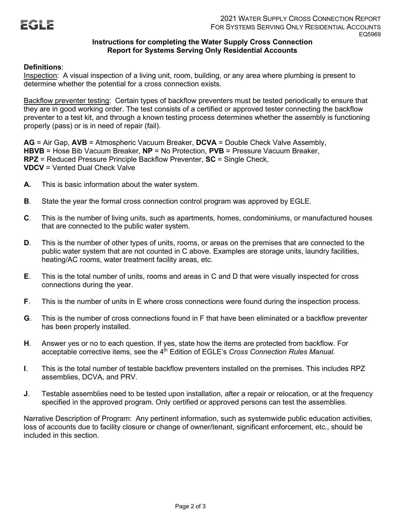## **Instructions for completing the Water Supply Cross Connection Report for Systems Serving Only Residential Accounts**

## **Definitions**:

Inspection: A visual inspection of a living unit, room, building, or any area where plumbing is present to determine whether the potential for a cross connection exists.

Backflow preventer testing: Certain types of backflow preventers must be tested periodically to ensure that they are in good working order. The test consists of a certified or approved tester connecting the backflow preventer to a test kit, and through a known testing process determines whether the assembly is functioning properly (pass) or is in need of repair (fail).

**AG** = Air Gap, **AVB** = Atmospheric Vacuum Breaker, **DCVA** = Double Check Valve Assembly, **HBVB** = Hose Bib Vacuum Breaker, **NP** = No Protection, **PVB** = Pressure Vacuum Breaker, **RPZ** = Reduced Pressure Principle Backflow Preventer, **SC** = Single Check, **VDCV** = Vented Dual Check Valve

- **A.** This is basic information about the water system.
- **B**. State the year the formal cross connection control program was approved by EGLE.
- **C**. This is the number of living units, such as apartments, homes, condominiums, or manufactured houses that are connected to the public water system.
- **D.** This is the number of other types of units, rooms, or areas on the premises that are connected to the public water system that are not counted in C above. Examples are storage units, laundry facilities, heating/AC rooms, water treatment facility areas, etc.
- **E**. This is the total number of units, rooms and areas in C and D that were visually inspected for cross connections during the year.
- **F**. This is the number of units in E where cross connections were found during the inspection process.
- **G**. This is the number of cross connections found in F that have been eliminated or a backflow preventer has been properly installed.
- **H**. Answer yes or no to each question. If yes, state how the items are protected from backflow. For acceptable corrective items, see the 4<sup>th</sup> Edition of EGLE's *Cross Connection Rules Manual.*
- **I**. This is the total number of testable backflow preventers installed on the premises. This includes RPZ assemblies, DCVA, and PRV.
- **J**. Testable assemblies need to be tested upon installation, after a repair or relocation, or at the frequency specified in the approved program. Only certified or approved persons can test the assemblies.

Narrative Description of Program: Any pertinent information, such as systemwide public education activities, loss of accounts due to facility closure or change of owner/tenant, significant enforcement, etc., should be included in this section.